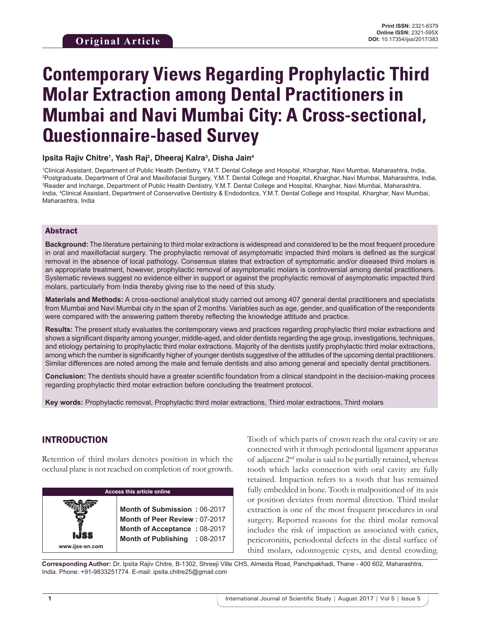# **Contemporary Views Regarding Prophylactic Third Molar Extraction among Dental Practitioners in Mumbai and Navi Mumbai City: A Cross-sectional, Questionnaire-based Survey**

#### **Ipsita Rajiv Chitre1 , Yash Raj2 , Dheeraj Kalra3 , Disha Jain4**

1 Clinical Assistant, Department of Public Health Dentistry, Y.M.T. Dental College and Hospital, Kharghar, Navi Mumbai, Maharashtra, India, 2 Postgraduate, Department of Oral and Maxillofacial Surgery, Y.M.T. Dental College and Hospital, Kharghar, Navi Mumbai, Maharashtra, India, 3 Reader and Incharge, Department of Public Health Dentistry, Y.M.T. Dental College and Hospital, Kharghar, Navi Mumbai, Maharashtra, India, 4 Clinical Assistant, Department of Conservative Dentistry & Endodontics, Y.M.T. Dental College and Hospital, Kharghar, Navi Mumbai, Maharashtra, India

#### Abstract

**Background:** The literature pertaining to third molar extractions is widespread and considered to be the most frequent procedure in oral and maxillofacial surgery. The prophylactic removal of asymptomatic impacted third molars is defined as the surgical removal in the absence of local pathology. Consensus states that extraction of symptomatic and/or diseased third molars is an appropriate treatment, however, prophylactic removal of asymptomatic molars is controversial among dental practitioners. Systematic reviews suggest no evidence either in support or against the prophylactic removal of asymptomatic impacted third molars, particularly from India thereby giving rise to the need of this study.

**Materials and Methods:** A cross-sectional analytical study carried out among 407 general dental practitioners and specialists from Mumbai and Navi Mumbai city in the span of 2 months. Variables such as age, gender, and qualification of the respondents were compared with the answering pattern thereby reflecting the knowledge attitude and practice.

**Results:** The present study evaluates the contemporary views and practices regarding prophylactic third molar extractions and shows a significant disparity among younger, middle-aged, and older dentists regarding the age group, investigations, techniques, and etiology pertaining to prophylactic third molar extractions. Majority of the dentists justify prophylactic third molar extractions, among which the number is significantly higher of younger dentists suggestive of the attitudes of the upcoming dental practitioners. Similar differences are noted among the male and female dentists and also among general and specialty dental practitioners.

**Conclusion:** The dentists should have a greater scientific foundation from a clinical standpoint in the decision-making process regarding prophylactic third molar extraction before concluding the treatment protocol.

**Key words:** Prophylactic removal, Prophylactic third molar extractions, Third molar extractions, Third molars

## INTRODUCTION

Retention of third molars denotes position in which the occlusal plane is not reached on completion of root growth.

| <b>Access this article online</b> |                                                                                                                                |  |  |
|-----------------------------------|--------------------------------------------------------------------------------------------------------------------------------|--|--|
| www.ijss-sn.com                   | Month of Submission: 06-2017<br>Month of Peer Review: 07-2017<br>Month of Acceptance: 08-2017<br>Month of Publishing : 08-2017 |  |  |
|                                   |                                                                                                                                |  |  |

Tooth of which parts of crown reach the oral cavity or are connected with it through periodontal ligament apparatus of adjacent 2nd molar is said to be partially retained, whereas tooth which lacks connection with oral cavity are fully retained. Impaction refers to a tooth that has remained fully embedded in bone. Tooth is malpositioned of its axis or position deviates from normal direction. Third molar extraction is one of the most frequent procedures in oral surgery. Reported reasons for the third molar removal includes the risk of impaction as associated with caries, pericoronitis, periodontal defects in the distal surface of third molars, odontogenic cysts, and dental crowding.

**Corresponding Author:** Dr. Ipsita Rajiv Chitre, B-1302, Shreeji Ville CHS, Almeida Road, Panchpakhadi, Thane - 400 602, Maharashtra, India. Phone: +91-9833251774. E-mail: ipsita.chitre25@gmail.com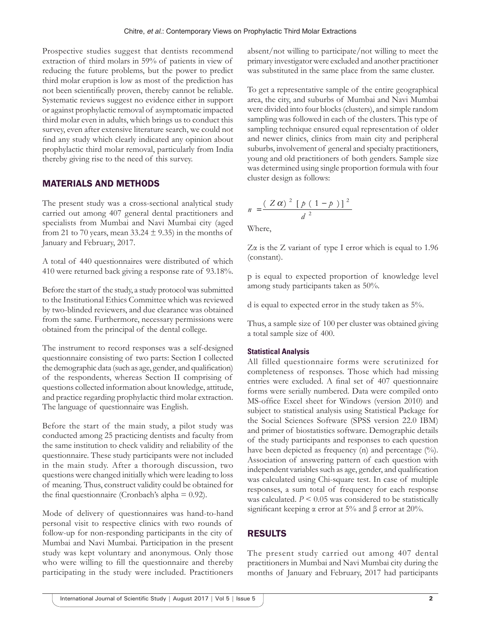Prospective studies suggest that dentists recommend extraction of third molars in 59% of patients in view of reducing the future problems, but the power to predict third molar eruption is low as most of the prediction has not been scientifically proven, thereby cannot be reliable. Systematic reviews suggest no evidence either in support or against prophylactic removal of asymptomatic impacted third molar even in adults, which brings us to conduct this survey, even after extensive literature search, we could not find any study which clearly indicated any opinion about prophylactic third molar removal, particularly from India thereby giving rise to the need of this survey.

# MATERIALS AND METHODS

The present study was a cross-sectional analytical study carried out among 407 general dental practitioners and specialists from Mumbai and Navi Mumbai city (aged from 21 to 70 years, mean 33.24  $\pm$  9.35) in the months of January and February, 2017.

A total of 440 questionnaires were distributed of which 410 were returned back giving a response rate of 93.18%.

Before the start of the study, a study protocol was submitted to the Institutional Ethics Committee which was reviewed by two-blinded reviewers, and due clearance was obtained from the same. Furthermore, necessary permissions were obtained from the principal of the dental college.

The instrument to record responses was a self-designed questionnaire consisting of two parts: Section I collected the demographic data (such as age, gender, and qualification) of the respondents, whereas Section II comprising of questions collected information about knowledge, attitude, and practice regarding prophylactic third molar extraction. The language of questionnaire was English.

Before the start of the main study, a pilot study was conducted among 25 practicing dentists and faculty from the same institution to check validity and reliability of the questionnaire. These study participants were not included in the main study. After a thorough discussion, two questions were changed initially which were leading to loss of meaning. Thus, construct validity could be obtained for the final questionnaire (Cronbach's alpha  $= 0.92$ ).

Mode of delivery of questionnaires was hand-to-hand personal visit to respective clinics with two rounds of follow-up for non-responding participants in the city of Mumbai and Navi Mumbai. Participation in the present study was kept voluntary and anonymous. Only those who were willing to fill the questionnaire and thereby participating in the study were included. Practitioners absent/not willing to participate/not willing to meet the primary investigator were excluded and another practitioner was substituted in the same place from the same cluster.

To get a representative sample of the entire geographical area, the city, and suburbs of Mumbai and Navi Mumbai were divided into four blocks (clusters), and simple random sampling was followed in each of the clusters. This type of sampling technique ensured equal representation of older and newer clinics, clinics from main city and peripheral suburbs, involvement of general and specialty practitioners, young and old practitioners of both genders. Sample size was determined using single proportion formula with four cluster design as follows:

$$
n = \frac{(Z\alpha)^2 \left[ p(1-p)\right]^2}{d^2}
$$

Where,

 $Z\alpha$  is the Z variant of type I error which is equal to 1.96 (constant).

p is equal to expected proportion of knowledge level among study participants taken as 50%.

d is equal to expected error in the study taken as 5%.

Thus, a sample size of 100 per cluster was obtained giving a total sample size of 400.

## **Statistical Analysis**

All filled questionnaire forms were scrutinized for completeness of responses. Those which had missing entries were excluded. A final set of 407 questionnaire forms were serially numbered. Data were compiled onto MS-office Excel sheet for Windows (version 2010) and subject to statistical analysis using Statistical Package for the Social Sciences Software (SPSS version 22.0 IBM) and primer of biostatistics software. Demographic details of the study participants and responses to each question have been depicted as frequency (n) and percentage (%). Association of answering pattern of each question with independent variables such as age, gender, and qualification was calculated using Chi-square test. In case of multiple responses, a sum total of frequency for each response was calculated.  $P \leq 0.05$  was considered to be statistically significant keeping α error at 5% and β error at 20%.

# RESULTS

The present study carried out among 407 dental practitioners in Mumbai and Navi Mumbai city during the months of January and February, 2017 had participants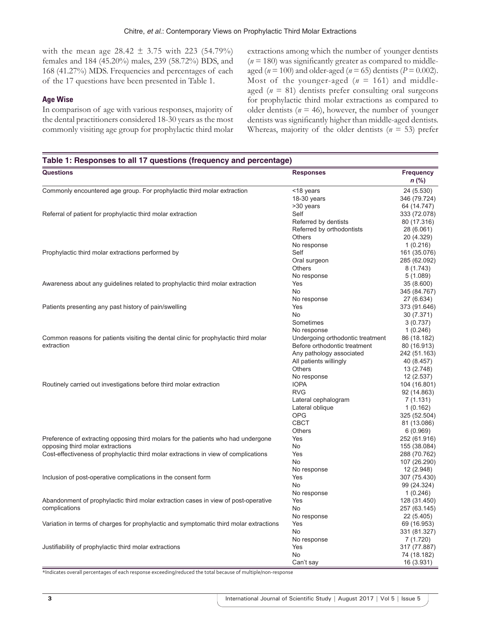with the mean age  $28.42 \pm 3.75$  with 223 (54.79%) females and 184 (45.20%) males, 239 (58.72%) BDS, and 168 (41.27%) MDS. Frequencies and percentages of each of the 17 questions have been presented in Table 1.

#### **Age Wise**

In comparison of age with various responses, majority of the dental practitioners considered 18-30 years as the most commonly visiting age group for prophylactic third molar extractions among which the number of younger dentists  $(n = 180)$  was significantly greater as compared to middleaged ( $n = 100$ ) and older-aged ( $n = 65$ ) dentists ( $P = 0.002$ ). Most of the younger-aged ( $n = 161$ ) and middleaged  $(n = 81)$  dentists prefer consulting oral surgeons for prophylactic third molar extractions as compared to older dentists ( $n = 46$ ), however, the number of younger dentists was significantly higher than middle-aged dentists. Whereas, majority of the older dentists (*n* = 53) prefer

| Table 1: Responses to all 17 questions (frequency and percentage)                      |                                  |                           |
|----------------------------------------------------------------------------------------|----------------------------------|---------------------------|
| <b>Questions</b>                                                                       | <b>Responses</b>                 | <b>Frequency</b><br>n (%) |
| Commonly encountered age group. For prophylactic third molar extraction                | <18 years                        | 24 (5.530)                |
|                                                                                        | 18-30 years                      | 346 (79.724)              |
|                                                                                        | >30 years                        | 64 (14.747)               |
| Referral of patient for prophylactic third molar extraction                            | Self                             | 333 (72.078)              |
|                                                                                        | Referred by dentists             | 80 (17.316)               |
|                                                                                        | Referred by orthodontists        | 28 (6.061)                |
|                                                                                        | <b>Others</b>                    | 20 (4.329)                |
|                                                                                        | No response                      | 1(0.216)                  |
| Prophylactic third molar extractions performed by                                      | Self                             | 161 (35.076)              |
|                                                                                        | Oral surgeon                     | 285 (62.092)              |
|                                                                                        | Others                           | 8(1.743)                  |
|                                                                                        | No response                      | 5(1.089)                  |
| Awareness about any guidelines related to prophylactic third molar extraction          | Yes                              | 35 (8.600)                |
|                                                                                        | <b>No</b>                        | 345 (84.767)              |
|                                                                                        | No response                      | 27 (6.634)                |
| Patients presenting any past history of pain/swelling                                  | Yes                              | 373 (91.646)              |
|                                                                                        | <b>No</b>                        | 30 (7.371)                |
|                                                                                        | Sometimes                        | 3(0.737)                  |
|                                                                                        | No response                      | 1(0.246)                  |
| Common reasons for patients visiting the dental clinic for prophylactic third molar    | Undergoing orthodontic treatment | 86 (18.182)               |
| extraction                                                                             | Before orthodontic treatment     | 80 (16.913)               |
|                                                                                        | Any pathology associated         | 242 (51.163)              |
|                                                                                        | All patients willingly           | 40 (8.457)                |
|                                                                                        | Others                           | 13 (2.748)                |
|                                                                                        | No response                      | 12 (2.537)                |
| Routinely carried out investigations before third molar extraction                     | <b>IOPA</b>                      | 104 (16.801)              |
|                                                                                        | <b>RVG</b>                       | 92 (14.863)               |
|                                                                                        | Lateral cephalogram              | 7(1.131)                  |
|                                                                                        | Lateral oblique                  | 1(0.162)                  |
|                                                                                        | <b>OPG</b>                       | 325 (52.504)              |
|                                                                                        | <b>CBCT</b>                      | 81 (13.086)               |
|                                                                                        | Others                           | 6(0.969)                  |
| Preference of extracting opposing third molars for the patients who had undergone      | Yes                              | 252 (61.916)              |
| opposing third molar extractions                                                       | No                               | 155 (38.084)              |
| Cost-effectiveness of prophylactic third molar extractions in view of complications    | Yes                              | 288 (70.762)              |
|                                                                                        | <b>No</b>                        | 107 (26.290)              |
|                                                                                        | No response                      | 12 (2.948)                |
| Inclusion of post-operative complications in the consent form                          | Yes                              | 307 (75.430)              |
|                                                                                        | No                               | 99 (24.324)               |
|                                                                                        | No response                      | 1(0.246)                  |
| Abandonment of prophylactic third molar extraction cases in view of post-operative     | Yes                              | 128 (31.450)              |
| complications                                                                          | No                               | 257 (63.145)              |
|                                                                                        | No response                      | 22 (5.405)                |
| Variation in terms of charges for prophylactic and symptomatic third molar extractions | Yes                              | 69 (16.953)               |
|                                                                                        | No                               | 331 (81.327)              |
|                                                                                        | No response                      | 7(1.720)                  |
| Justifiability of prophylactic third molar extractions                                 | Yes                              | 317 (77.887)              |
|                                                                                        | No                               | 74 (18.182)               |
|                                                                                        | Can't say                        | 16 (3.931)                |

\*Indicates overall percentages of each response exceeding/reduced the total because of multiple/non‑response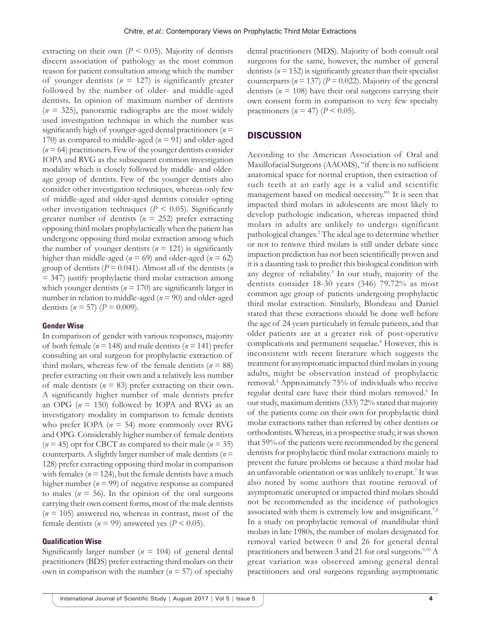extracting on their own ( $P \le 0.05$ ). Majority of dentists discern association of pathology as the most common reason for patient consultation among which the number of younger dentists ( $n = 127$ ) is significantly greater followed by the number of older- and middle-aged dentists. In opinion of maximum number of dentists (*n* = 325), panoramic radiographs are the most widely used investigation technique in which the number was significantly high of younger-aged dental practitioners (*n* = 170) as compared to middle-aged (*n* = 91) and older-aged  $(n=64)$  practitioners. Few of the younger dentists consider IOPA and RVG as the subsequent common investigation modality which is closely followed by middle- and olderage group of dentists. Few of the younger dentists also consider other investigation techniques, whereas only few of middle-aged and older-aged dentists consider opting other investigation techniques ( $P \leq 0.05$ ). Significantly greater number of dentists (*n* = 252) prefer extracting opposing third molars prophylactically when the patient has undergone opposing third molar extraction among which the number of younger dentists  $(n = 121)$  is significantly higher than middle-aged ( $n = 69$ ) and older-aged ( $n = 62$ ) group of dentists (*P* = 0.041). Almost all of the dentists (*n* = 347) justify prophylactic third molar extraction among which younger dentists ( $n = 170$ ) are significantly larger in number in relation to middle-aged (*n* = 90) and older-aged dentists ( $n = 57$ ) ( $P = 0.009$ ).

#### **Gender Wise**

In comparison of gender with various responses, majority of both female ( $n = 148$ ) and male dentists ( $n = 141$ ) prefer consulting an oral surgeon for prophylactic extraction of third molars, whereas few of the female dentists ( $n = 88$ ) prefer extracting on their own and a relatively less number of male dentists ( $n = 83$ ) prefer extracting on their own. A significantly higher number of male dentists prefer an OPG ( $n = 150$ ) followed by IOPA and RVG as an investigatory modality in comparison to female dentists who prefer IOPA (*n* = 54) more commonly over RVG and OPG. Considerably higher number of female dentists  $(n = 45)$  opt for CBCT as compared to their male  $(n = 35)$ counterparts. A slightly larger number of male dentists ( $n =$ 128) prefer extracting opposing third molar in comparison with females ( $n = 124$ ), but the female dentists have a much higher number  $(n = 99)$  of negative response as compared to males ( $n = 56$ ). In the opinion of the oral surgeons carrying their own consent forms, most of the male dentists  $(n = 105)$  answered no, whereas in contrast, most of the female dentists ( $n = 99$ ) answered yes ( $P < 0.05$ ).

#### **Qualification Wise**

Significantly larger number ( $n = 104$ ) of general dental practitioners (BDS) prefer extracting third molars on their own in comparison with the number  $(n = 57)$  of specialty dental practitioners (MDS). Majority of both consult oral surgeons for the same, however, the number of general dentists ( $n = 152$ ) is significantly greater than their specialist counterparts ( $n = 137$ ) ( $P = 0.022$ ). Majority of the general dentists ( $n = 108$ ) have their oral surgeons carrying their own consent form in comparison to very few specialty practitioners ( $n = 47$ ) ( $P < 0.05$ ).

#### **DISCUSSION**

According to the American Association of Oral and Maxillofacial Surgeons (AAOMS), "if there is no sufficient anatomical space for normal eruption, then extraction of such teeth at an early age is a valid and scientific management based on medical necessity."1 It is seen that impacted third molars in adolescents are most likely to develop pathologic indication, whereas impacted third molars in adults are unlikely to undergo significant pathological changes.2 The ideal age to determine whether or not to remove third molars is still under debate since impaction prediction has not been scientifically proven and it is a daunting task to predict this biological condition with any degree of reliability.<sup>3</sup> In our study, majority of the dentists consider 18-30 years (346) 79.72% as most common age group of patients undergoing prophylactic third molar extraction. Similarly, Blondeau and Daniel stated that these extractions should be done well before the age of 24 years particularly in female patients, and that older patients are at a greater risk of post-operative complications and permanent sequelae.<sup>4</sup> However, this is inconsistent with recent literature which suggests the treatment for asymptomatic impacted third molars in young adults, might be observation instead of prophylactic removal.5 Approximately 75% of individuals who receive regular dental care have their third molars removed.<sup>6</sup> In our study, maximum dentists (333) 72% stated that majority of the patients come on their own for prophylactic third molar extractions rather than referred by other dentists or orthodontists. Whereas, in a prospective study, it was shown that 59% of the patients were recommended by the general dentists for prophylactic third molar extractions mainly to prevent the future problems or because a third molar had an unfavorable orientation or was unlikely to erupt.<sup>7</sup> It was also noted by some authors that routine removal of asymptomatic unerupted or impacted third molars should not be recommended as the incidence of pathologies associated with them is extremely low and insignificant.<sup>7,8</sup> In a study on prophylactic removal of mandibular third molars in late 1980s, the number of molars designated for removal varied between 0 and 26 for general dental practitioners and between 3 and 21 for oral surgeons.<sup>9,10</sup> A great variation was observed among general dental practitioners and oral surgeons regarding asymptomatic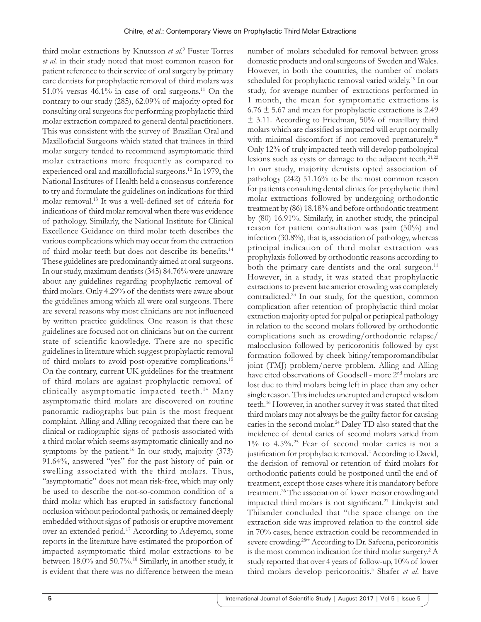third molar extractions by Knutsson *et al*. 9 Fuster Torres *et al*. in their study noted that most common reason for patient reference to their service of oral surgery by primary care dentists for prophylactic removal of third molars was 51.0% versus 46.1% in case of oral surgeons.11 On the contrary to our study (285), 62.09% of majority opted for consulting oral surgeons for performing prophylactic third molar extraction compared to general dental practitioners. This was consistent with the survey of Brazilian Oral and Maxillofacial Surgeons which stated that trainees in third molar surgery tended to recommend asymptomatic third molar extractions more frequently as compared to experienced oral and maxillofacial surgeons.12 In 1979, the National Institutes of Health held a consensus conference to try and formulate the guidelines on indications for third molar removal.13 It was a well-defined set of criteria for indications of third molar removal when there was evidence of pathology. Similarly, the National Institute for Clinical Excellence Guidance on third molar teeth describes the various complications which may occur from the extraction of third molar teeth but does not describe its benefits.<sup>14</sup> These guidelines are predominantly aimed at oral surgeons. In our study, maximum dentists (345) 84.76% were unaware about any guidelines regarding prophylactic removal of third molars. Only 4.29% of the dentists were aware about the guidelines among which all were oral surgeons. There are several reasons why most clinicians are not influenced by written practice guidelines. One reason is that these guidelines are focused not on clinicians but on the current state of scientific knowledge. There are no specific guidelines in literature which suggest prophylactic removal of third molars to avoid post-operative complications.15 On the contrary, current UK guidelines for the treatment of third molars are against prophylactic removal of clinically asymptomatic impacted teeth. 14 Many asymptomatic third molars are discovered on routine panoramic radiographs but pain is the most frequent complaint. Alling and Alling recognized that there can be clinical or radiographic signs of pathosis associated with a third molar which seems asymptomatic clinically and no symptoms by the patient.<sup>16</sup> In our study, majority  $(373)$ 91.64%, answered "yes" for the past history of pain or swelling associated with the third molars. Thus, "asymptomatic" does not mean risk-free, which may only be used to describe the not-so-common condition of a third molar which has erupted in satisfactory functional occlusion without periodontal pathosis, or remained deeply embedded without signs of pathosis or eruptive movement over an extended period.<sup>17</sup> According to Adeyemo, some reports in the literature have estimated the proportion of impacted asymptomatic third molar extractions to be between 18.0% and 50.7%.18 Similarly, in another study, it is evident that there was no difference between the mean

number of molars scheduled for removal between gross domestic products and oral surgeons of Sweden and Wales. However, in both the countries, the number of molars scheduled for prophylactic removal varied widely.19 In our study, for average number of extractions performed in 1 month, the mean for symptomatic extractions is 6.76  $\pm$  5.67 and mean for prophylactic extractions is 2.49 ± 3.11. According to Friedman, 50% of maxillary third molars which are classified as impacted will erupt normally with minimal discomfort if not removed prematurely.<sup>20</sup> Only 12% of truly impacted teeth will develop pathological lesions such as cysts or damage to the adjacent teeth.<sup>21,22</sup> In our study, majority dentists opted association of pathology (242) 51.16% to be the most common reason for patients consulting dental clinics for prophylactic third molar extractions followed by undergoing orthodontic treatment by (86) 18.18% and before orthodontic treatment by (80) 16.91%. Similarly, in another study, the principal reason for patient consultation was pain (50%) and infection (30.8%), that is, association of pathology, whereas principal indication of third molar extraction was prophylaxis followed by orthodontic reasons according to both the primary care dentists and the oral surgeon. $11$ However, in a study, it was stated that prophylactic extractions to prevent late anterior crowding was completely contradicted.23 In our study, for the question, common complication after retention of prophylactic third molar extraction majority opted for pulpal or periapical pathology in relation to the second molars followed by orthodontic complications such as crowding/orthodontic relapse/ malocclusion followed by pericoronitis followed by cyst formation followed by cheek biting/temporomandibular joint (TMJ) problem/nerve problem. Alling and Alling have cited observations of Goodsell - more 2<sup>nd</sup> molars are lost due to third molars being left in place than any other single reason. This includes unerupted and erupted wisdom teeth.<sup>16</sup> However, in another survey it was stated that tilted third molars may not always be the guilty factor for causing caries in the second molar.24 Daley TD also stated that the incidence of dental caries of second molars varied from 1% to 4.5%.25 Fear of second molar caries is not a justification for prophylactic removal.<sup>2</sup> According to David, the decision of removal or retention of third molars for orthodontic patients could be postponed until the end of treatment, except those cases where it is mandatory before treatment.<sup>26</sup> The association of lower incisor crowding and impacted third molars is not significant.27 Lindqvist and Thilander concluded that "the space change on the extraction side was improved relation to the control side in 70% cases, hence extraction could be recommended in severe crowding.<sup>28</sup>" According to Dr. Safeena, pericoronitis is the most common indication for third molar surgery.<sup>2</sup> A study reported that over 4 years of follow-up, 10% of lower third molars develop pericoronitis.<sup>5</sup> Shafer *et al.* have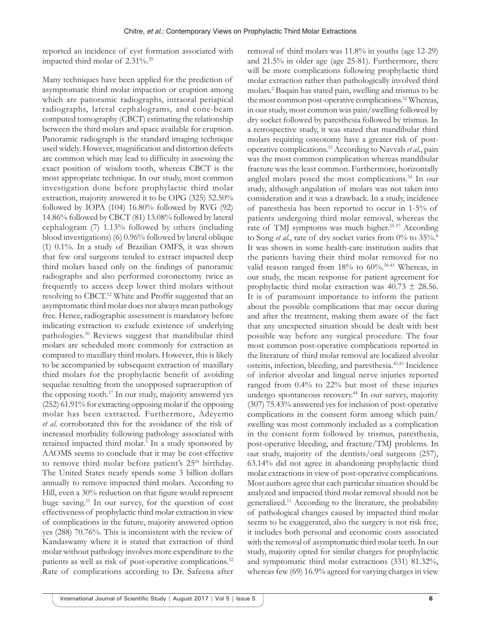reported an incidence of cyst formation associated with impacted third molar of 2.31%.<sup>29</sup>

Many techniques have been applied for the prediction of asymptomatic third molar impaction or eruption among which are panoramic radiographs, intraoral periapical radiographs, lateral cephalograms, and cone-beam computed tomography (CBCT) estimating the relationship between the third molars and space available for eruption. Panoramic radiograph is the standard imaging technique used widely. However, magnification and distortion defects are common which may lead to difficulty in assessing the exact position of wisdom tooth, whereas CBCT is the most appropriate technique. In our study, most common investigation done before prophylactic third molar extraction, majority answered it to be OPG (325) 52.50% followed by IOPA  $(104)$  16.80% followed by RVG  $(92)$ 14.86% followed by CBCT (81) 13.08% followed by lateral cephalogram (7) 1.13% followed by others (including blood investigations) (6) 0.96% followed by lateral oblique (1) 0.1%. In a study of Brazilian OMFS, it was shown that few oral surgeons tended to extract impacted deep third molars based only on the findings of panoramic radiographs and also performed coronectomy twice as frequently to access deep lower third molars without resolving to CBCT.12 White and Proffit suggested that an asymptomatic third molar does not always mean pathology free. Hence, radiographic assessment is mandatory before indicating extraction to exclude existence of underlying pathologies.30 Reviews suggest that mandibular third molars are scheduled more commonly for extraction as compared to maxillary third molars. However, this is likely to be accompanied by subsequent extraction of maxillary third molars for the prophylactic benefit of avoiding sequelae resulting from the unopposed supraeruption of the opposing tooth.17 In our study, majority answered yes (252) 61.91% for extracting opposing molar if the opposing molar has been extracted. Furthermore, Adeyemo *et al*. corroborated this for the avoidance of the risk of increased morbidity following pathology associated with retained impacted third molar.<sup>3</sup> In a study sponsored by AAOMS seems to conclude that it may be cost-effective to remove third molar before patient's 25<sup>th</sup> birthday. The United States nearly spends some 3 billion dollars annually to remove impacted third molars. According to Hill, even a 30% reduction on that figure would represent huge saving.31 In our survey, for the question of cost effectiveness of prophylactic third molar extraction in view of complications in the future, majority answered option yes (288) 70.76%. This is inconsistent with the review of Kandaswamy where it is stated that extraction of third molar without pathology involves more expenditure to the patients as well as risk of post-operative complications.<sup>32</sup> Rate of complications according to Dr. Safeena after

and 21.5% in older age (age 25-81). Furthermore, there will be more complications following prophylactic third molar extraction rather than pathologically involved third molars.2 Baqain has stated pain, swelling and trismus to be the most common post-operative complications.<sup>32</sup> Whereas, in our study, most common was pain/swelling followed by dry socket followed by paresthesia followed by trismus. In a retrospective study, it was stated that mandibular third molars requiring osteotomy have a greater risk of postoperative complications.33 According to Navvab *et al*., pain was the most common complication whereas mandibular fracture was the least common. Furthermore, horizontally angled molars posed the most complications.<sup>34</sup> In our study, although angulation of molars was not taken into consideration and it was a drawback. In a study, incidence of paresthesia has been reported to occur in 1-5% of patients undergoing third molar removal, whereas the rate of TMJ symptoms was much higher.<sup>35-37</sup> According to Song *et al.*, rate of dry socket varies from 0% to 35%.<sup>8</sup> It was shown in some health-care institution audits that the patients having their third molar removed for no valid reason ranged from 18% to 60%.<sup>38-41</sup> Whereas, in our study, the mean response for patient agreement for prophylactic third molar extraction was  $40.73 \pm 28.56$ . It is of paramount importance to inform the patient about the possible complications that may occur during and after the treatment, making them aware of the fact that any unexpected situation should be dealt with best possible way before any surgical procedure. The four most common post-operative complications reported in the literature of third molar removal are localized alveolar osteitis, infection, bleeding, and paresthesia.<sup>42,43</sup> Incidence of inferior alveolar and lingual nerve injuries reported ranged from 0.4% to 22% but most of these injuries undergo spontaneous recovery.<sup>44</sup> In our survey, majority (307) 75.43% answered yes for inclusion of post-operative complications in the consent form among which pain/ swelling was most commonly included as a complication in the consent form followed by trismus, paresthesia, post-operative bleeding, and fracture/TMJ problems. In our study, majority of the dentists/oral surgeons (257), 63.14% did not agree in abandoning prophylactic third molar extractions in view of post-operative complications. Most authors agree that each particular situation should be analyzed and impacted third molar removal should not be generalized.11 According to the literature, the probability of pathological changes caused by impacted third molar seems to be exaggerated, also the surgery is not risk free, it includes both personal and economic costs associated with the removal of asymptomatic third molar teeth. In our study, majority opted for similar charges for prophylactic and symptomatic third molar extractions (331) 81.32%, whereas few (69) 16.9% agreed for varying charges in view

removal of third molars was 11.8% in youths (age 12-29)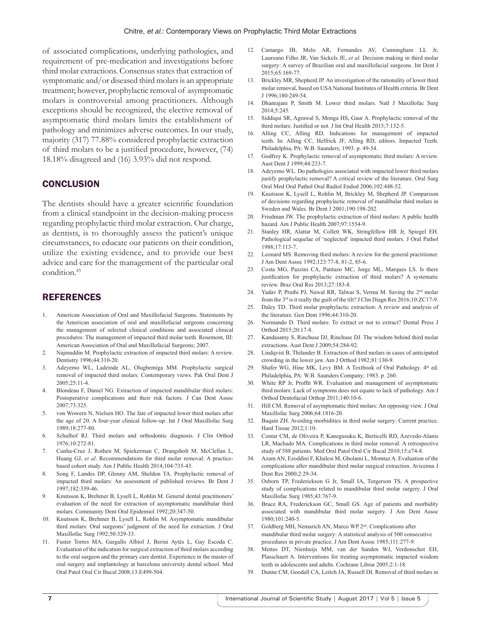of associated complications, underlying pathologies, and requirement of pre-medication and investigations before third molar extractions. Consensus states that extraction of symptomatic and/or diseased third molars is an appropriate treatment; however, prophylactic removal of asymptomatic molars is controversial among practitioners. Although exceptions should be recognized, the elective removal of asymptomatic third molars limits the establishment of pathology and minimizes adverse outcomes. In our study, majority (317) 77.88% considered prophylactic extraction of third molars to be a justified procedure, however, (74) 18.18% disagreed and (16) 3.93% did not respond.

#### **CONCLUSION**

The dentists should have a greater scientific foundation from a clinical standpoint in the decision-making process regarding prophylactic third molar extraction. Our charge, as dentists, is to thoroughly assess the patient's unique circumstances, to educate our patients on their condition, utilize the existing evidence, and to provide our best advice and care for the management of the particular oral condition.45

#### REFERENCES

- 1. American Association of Oral and Maxillofacial Surgeons. Statements by the American association of oral and maxillofacial surgeons concerning the management of selected clinical conditions and associated clinical procedures: The management of impacted third molar teeth. Rosemont, III: American Association of Oral and Maxillofacial Surgeons; 2007.
- 2. Najmuddin M. Prophylactic extraction of impacted third molars: A review. Dentistry 1996;44:310-20.
- 3. Adeyemo WL, Ladeinde AL, Olugbemiga MM. Prophylactic surgical removal of impacted third molars: Contemporary views. Pak Oral Dent J 2005;25:11-4.
- 4. Blondeau F, Daniel NG. Extraction of impacted mandibular third molars: Postoperative complications and their risk factors. J Can Dent Assoc 2007;73:325.
- 5. von Wowern N, Nielsen HO. The fate of impacted lower third molars after the age of 20. A four-year clinical follow-up. Int J Oral Maxillofac Surg 1989;18:277-80.
- 6. Schulhof RJ. Third molars and orthodontic diagnosis. J Clin Orthod 1976;10:272-81.
- 7. Cunha-Cruz J, Rothen M, Spiekerman C, Drangsholt M, McClellan L, Huang GJ, *et al*. Recommendations for third molar removal: A practicebased cohort study. Am J Public Health 2014;104:735-43.
- 8. Song F, Landes DP, Glenny AM, Sheldon TA. Prophylactic removal of impacted third molars: An assessment of published reviews. Br Dent J 1997;182:339-46.
- 9. Knutsson K, Brehmer B, Lysell L, Rohlin M. General dental practitioners' evaluation of the need for extraction of asymptomatic mandibular third molars. Community Dent Oral Epidemiol 1992;20:347-50.
- 10. Knutsson K, Brehmer B, Lysell L, Rohlin M. Asymptomatic mandibular third molars: Oral surgeons' judgment of the need for extraction. J Oral Maxillofac Surg 1992;50:329-33.
- 11. Fuster Torres MA, Gargallo Albiol J, Berini Aytés L, Gay Escoda C. Evaluation of the indication for surgical extraction of third molars according to the oral surgeon and the primary care dentist. Experience in the master of oral surgery and implantology at barcelona university dental school. Med Oral Patol Oral Cir Bucal 2008;13:E499-504.
- 12. Camargo IB, Melo AR, Fernandes AV, Cunningham LL Jr, Laureano Filho JR, Van Sickels JE, *et al.* Decision making in third molar surgery: A survey of Brazilian oral and maxillofacial surgeons. Int Dent J 2015;65:169-77.
- 13. Brickley MR, Shepherd JP. An investigation of the rationality of lower third molar removal, based on USA National Institutes of Health criteria. Br Dent J 1996;180:249-54.
- 14. Dhanrajani P, Smith M. Lower third molars. Natl J Maxillofac Surg  $2014.5.245$
- 15. Siddiqui SR, Agrawal S, Monga HS, Gaur A. Prophylactic removal of the third molars: Justified or not. J Int Oral Health 2015;7:132-5.
- 16. Alling CC, Alling RD. Indications for management of impacted teeth. In: Alling CC, Helfrick JF, Alling RD, editors. Impacted Teeth. Philadelphia, PA: W.B. Saunders; 1993. p. 49-54.
- 17. Godfrey K. Prophylactic removal of asymptomatic third molars: A review. Aust Dent J 1999;44:233-7.
- 18. Adeyemo WL. Do pathologies associated with impacted lower third molars justify prophylactic removal? A critical review of the literature. Oral Surg Oral Med Oral Pathol Oral Radiol Endod 2006;102:448-52.
- 19. Knutsson K, Lysell L, Rohlin M, Brickley M, Shepherd JP. Comparison of decisions regarding prophylactic removal of mandibular third molars in Sweden and Wales. Br Dent J 2001;190:198-202.
- 20. Friedman JW. The prophylactic extraction of third molars: A public health hazard. Am J Public Health 2007;97:1554-9.
- 21. Stanley HR, Alattar M, Collett WK, Stringfellow HR Jr, Spiegel EH. Pathological sequelae of 'neglected' impacted third molars. J Oral Pathol 1988;17:113-7.
- 22. Leonard MS. Removing third molars: A review for the general practitioner. J Am Dent Assoc 1992;123:77-8, 81-2, 85-6.
- 23. Costa MG, Pazzini CA, Pantuzo MC, Jorge ML, Marques LS. Is there justification for prophylactic extraction of third molars? A systematic review. Braz Oral Res 2013;27:183-8.
- 24. Yadav P, Pruthi PJ, Nawal RR, Talwar S, Verma M. Saving the 2nd molar from the 3rd is it really the guilt of the tilt? J Clin Diagn Res 2016;10:ZC17-9.
- 25. Daley TD. Third molar prophylactic extraction: A review and analysis of the literature. Gen Dent 1996;44:310-20.
- 26. Normando D. Third molars: To extract or not to extract? Dental Press J Orthod 2015;20:17-8.
- 27. Kandasamy S, Rinchuse DJ, Rinchuse DJ. The wisdom behind third molar extractions. Aust Dent J 2009;54:284-92.
- 28. Lindqvist B, Thilander B. Extraction of third molars in cases of anticipated crowding in the lower jaw. Am J Orthod 1982;81:130-9.
- 29. Shafer WG, Hine MK, Levy BM. A Textbook of Oral Pathology. 4<sup>th</sup> ed. Philadelphia, PA: W.B. Saunders Company; 1983. p. 260.
- 30. White RP Jr, Proffit WR. Evaluation and management of asymptomatic third molars: Lack of symptoms does not equate to lack of pathology. Am J Orthod Dentofacial Orthop 2011;140:10-6.
- 31. Hill CM. Removal of asymptomatic third molars: An opposing view. J Oral Maxillofac Surg 2006;64:1816-20.
- 32. Baqain ZH. Avoiding morbidities in third molar surgery: Current practice. Hard Tissue 2012;1:10.
- 33. Contar CM, de Oliveira P, Kanegusuku K, Berticelli RD, Azevedo-Alanis LR, Machado MA. Complications in third molar removal: A retrospective study of 588 patients. Med Oral Patol Oral Cir Bucal 2010;15:e74-8.
- 34. Azam AN, Ezoddini F, Khalesi M, Gholami L, Momtaz A. Evaluation of the complications after mandibular third molar surgical extraction. Avicenna J Dent Res 2000;2:29-34.
- 35. Osborn TP, Frederickson G Jr, Small IA, Torgerson TS. A prospective study of complications related to mandibular third molar surgery. J Oral Maxillofac Surg 1985;43:767-9.
- 36. Bruce RA, Frederickson GC, Small GS. Age of patients and morbidity associated with mandibular third molar surgery. J Am Dent Assoc 1980;101:240-5.
- 37. Goldberg MH, Nemarich AN, Marco WP 2<sup>nd</sup>. Complications after mandibular third molar surgery: A statistical analysis of 500 consecutive procedures in private practice. J Am Dent Assoc 1985;111:277-9.
- 38. Mettes DT, Nienhuijs MM, van der Sanden WJ, Verdonschot EH, Plasschaert A. Interventions for treating asymptomatic impacted wisdom teeth in adolescents and adults. Cochrane Librar 2005;2:1-18.
- 39. Dunne CM, Goodall CA, Leitch JA, Russell DI. Removal of third molars in